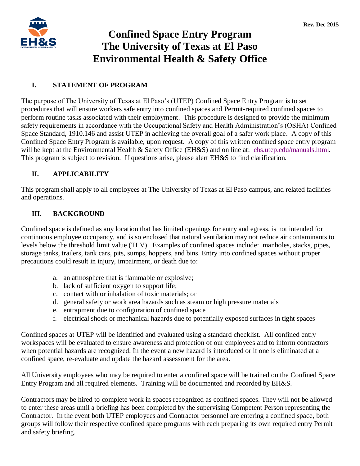

# **Confined Space Entry Program The University of Texas at El Paso Environmental Health & Safety Office**

### **I. STATEMENT OF PROGRAM**

The purpose of The University of Texas at El Paso's (UTEP) Confined Space Entry Program is to set procedures that will ensure workers safe entry into confined spaces and Permit-required confined spaces to perform routine tasks associated with their employment. This procedure is designed to provide the minimum safety requirements in accordance with the Occupational Safety and Health Administration's (OSHA) Confined Space Standard, 1910.146 and assist UTEP in achieving the overall goal of a safer work place. A copy of this Confined Space Entry Program is available, upon request. A copy of this written confined space entry program will be kept at the Environmental Health & Safety Office (EH&S) and on line at: [ehs.utep.edu/manuals.html.](http://ehs.utep.edu/manuals.html) This program is subject to revision. If questions arise, please alert EH&S to find clarification.

## **II. APPLICABILITY**

This program shall apply to all employees at The University of Texas at El Paso campus, and related facilities and operations.

## **III. BACKGROUND**

Confined space is defined as any location that has limited openings for entry and egress, is not intended for continuous employee occupancy, and is so enclosed that natural ventilation may not reduce air contaminants to levels below the threshold limit value (TLV). Examples of confined spaces include: manholes, stacks, pipes, storage tanks, trailers, tank cars, pits, sumps, hoppers, and bins. Entry into confined spaces without proper precautions could result in injury, impairment, or death due to:

- a. an atmosphere that is flammable or explosive;
- b. lack of sufficient oxygen to support life;
- c. contact with or inhalation of toxic materials; or
- d. general safety or work area hazards such as steam or high pressure materials
- e. entrapment due to configuration of confined space
- f. electrical shock or mechanical hazards due to potentially exposed surfaces in tight spaces

Confined spaces at UTEP will be identified and evaluated using a standard checklist. All confined entry workspaces will be evaluated to ensure awareness and protection of our employees and to inform contractors when potential hazards are recognized. In the event a new hazard is introduced or if one is eliminated at a confined space, re-evaluate and update the hazard assessment for the area.

All University employees who may be required to enter a confined space will be trained on the Confined Space Entry Program and all required elements. Training will be documented and recorded by EH&S.

Contractors may be hired to complete work in spaces recognized as confined spaces. They will not be allowed to enter these areas until a briefing has been completed by the supervising Competent Person representing the Contractor. In the event both UTEP employees and Contractor personnel are entering a confined space, both groups will follow their respective confined space programs with each preparing its own required entry Permit and safety briefing.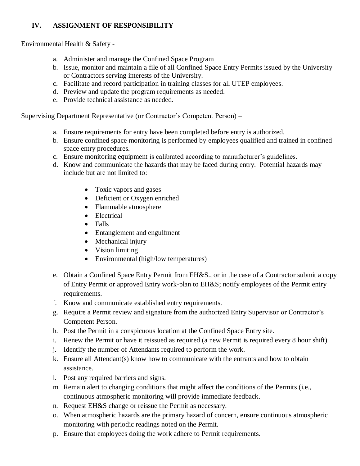## **IV. ASSIGNMENT OF RESPONSIBILITY**

Environmental Health & Safety -

- a. Administer and manage the Confined Space Program
- b. Issue, monitor and maintain a file of all Confined Space Entry Permits issued by the University or Contractors serving interests of the University.
- c. Facilitate and record participation in training classes for all UTEP employees.
- d. Preview and update the program requirements as needed.
- e. Provide technical assistance as needed.

Supervising Department Representative (or Contractor's Competent Person) –

- a. Ensure requirements for entry have been completed before entry is authorized.
- b. Ensure confined space monitoring is performed by employees qualified and trained in confined space entry procedures.
- c. Ensure monitoring equipment is calibrated according to manufacturer's guidelines.
- d. Know and communicate the hazards that may be faced during entry. Potential hazards may include but are not limited to:
	- Toxic vapors and gases
	- Deficient or Oxygen enriched
	- Flammable atmosphere
	- Electrical
	- Falls
	- Entanglement and engulfment
	- Mechanical injury
	- Vision limiting
	- Environmental (high/low temperatures)
- e. Obtain a Confined Space Entry Permit from EH&S., or in the case of a Contractor submit a copy of Entry Permit or approved Entry work-plan to EH&S; notify employees of the Permit entry requirements.
- f. Know and communicate established entry requirements.
- g. Require a Permit review and signature from the authorized Entry Supervisor or Contractor's Competent Person.
- h. Post the Permit in a conspicuous location at the Confined Space Entry site.
- i. Renew the Permit or have it reissued as required (a new Permit is required every 8 hour shift).
- j. Identify the number of Attendants required to perform the work.
- k. Ensure all Attendant(s) know how to communicate with the entrants and how to obtain assistance.
- l. Post any required barriers and signs.
- m. Remain alert to changing conditions that might affect the conditions of the Permits (i.e., continuous atmospheric monitoring will provide immediate feedback.
- n. Request EH&S change or reissue the Permit as necessary.
- o. When atmospheric hazards are the primary hazard of concern, ensure continuous atmospheric monitoring with periodic readings noted on the Permit.
- p. Ensure that employees doing the work adhere to Permit requirements.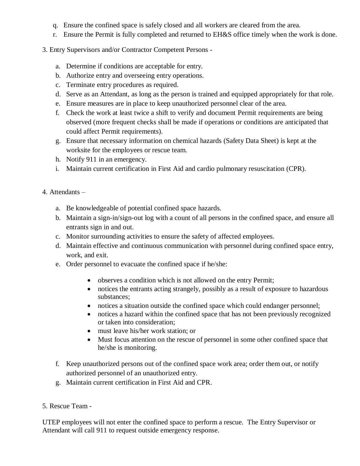- q. Ensure the confined space is safely closed and all workers are cleared from the area.
- r. Ensure the Permit is fully completed and returned to EH&S office timely when the work is done.
- 3. Entry Supervisors and/or Contractor Competent Persons
	- a. Determine if conditions are acceptable for entry.
	- b. Authorize entry and overseeing entry operations.
	- c. Terminate entry procedures as required.
	- d. Serve as an Attendant, as long as the person is trained and equipped appropriately for that role.
	- e. Ensure measures are in place to keep unauthorized personnel clear of the area.
	- f. Check the work at least twice a shift to verify and document Permit requirements are being observed (more frequent checks shall be made if operations or conditions are anticipated that could affect Permit requirements).
	- g. Ensure that necessary information on chemical hazards (Safety Data Sheet) is kept at the worksite for the employees or rescue team.
	- h. Notify 911 in an emergency.
	- i. Maintain current certification in First Aid and cardio pulmonary resuscitation (CPR).
- 4. Attendants
	- a. Be knowledgeable of potential confined space hazards.
	- b. Maintain a sign-in/sign-out log with a count of all persons in the confined space, and ensure all entrants sign in and out.
	- c. Monitor surrounding activities to ensure the safety of affected employees.
	- d. Maintain effective and continuous communication with personnel during confined space entry, work, and exit.
	- e. Order personnel to evacuate the confined space if he/she:
		- observes a condition which is not allowed on the entry Permit;
		- notices the entrants acting strangely, possibly as a result of exposure to hazardous substances;
		- notices a situation outside the confined space which could endanger personnel;
		- notices a hazard within the confined space that has not been previously recognized or taken into consideration;
		- must leave his/her work station; or
		- Must focus attention on the rescue of personnel in some other confined space that he/she is monitoring.
	- f. Keep unauthorized persons out of the confined space work area; order them out, or notify authorized personnel of an unauthorized entry.
	- g. Maintain current certification in First Aid and CPR.

### 5. Rescue Team -

UTEP employees will not enter the confined space to perform a rescue. The Entry Supervisor or Attendant will call 911 to request outside emergency response.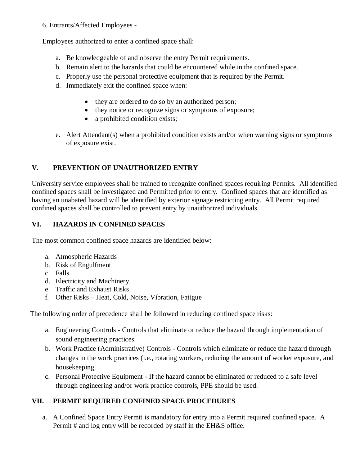### 6. Entrants/Affected Employees -

Employees authorized to enter a confined space shall:

- a. Be knowledgeable of and observe the entry Permit requirements.
- b. Remain alert to the hazards that could be encountered while in the confined space.
- c. Properly use the personal protective equipment that is required by the Permit.
- d. Immediately exit the confined space when:
	- they are ordered to do so by an authorized person;
	- they notice or recognize signs or symptoms of exposure;
	- a prohibited condition exists;
- e. Alert Attendant(s) when a prohibited condition exists and/or when warning signs or symptoms of exposure exist.

# **V. PREVENTION OF UNAUTHORIZED ENTRY**

University service employees shall be trained to recognize confined spaces requiring Permits. All identified confined spaces shall be investigated and Permitted prior to entry. Confined spaces that are identified as having an unabated hazard will be identified by exterior signage restricting entry. All Permit required confined spaces shall be controlled to prevent entry by unauthorized individuals.

# **VI. HAZARDS IN CONFINED SPACES**

The most common confined space hazards are identified below:

- a. Atmospheric Hazards
- b. Risk of Engulfment
- c. Falls
- d. Electricity and Machinery
- e. Traffic and Exhaust Risks
- f. Other Risks Heat, Cold, Noise, Vibration, Fatigue

The following order of precedence shall be followed in reducing confined space risks:

- a. Engineering Controls Controls that eliminate or reduce the hazard through implementation of sound engineering practices.
- b. Work Practice (Administrative) Controls Controls which eliminate or reduce the hazard through changes in the work practices (i.e., rotating workers, reducing the amount of worker exposure, and housekeeping.
- c. Personal Protective Equipment If the hazard cannot be eliminated or reduced to a safe level through engineering and/or work practice controls, PPE should be used.

# **VII. PERMIT REQUIRED CONFINED SPACE PROCEDURES**

a. A Confined Space Entry Permit is mandatory for entry into a Permit required confined space. A Permit # and log entry will be recorded by staff in the EH&S office.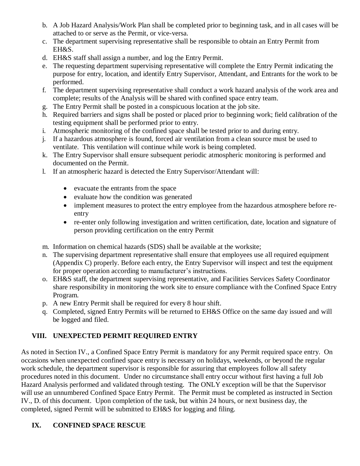- b. A Job Hazard Analysis/Work Plan shall be completed prior to beginning task, and in all cases will be attached to or serve as the Permit, or vice-versa.
- c. The department supervising representative shall be responsible to obtain an Entry Permit from EH&S.
- d. EH&S staff shall assign a number, and log the Entry Permit.
- e. The requesting department supervising representative will complete the Entry Permit indicating the purpose for entry, location, and identify Entry Supervisor, Attendant, and Entrants for the work to be performed.
- f. The department supervising representative shall conduct a work hazard analysis of the work area and complete; results of the Analysis will be shared with confined space entry team.
- g. The Entry Permit shall be posted in a conspicuous location at the job site.
- h. Required barriers and signs shall be posted or placed prior to beginning work; field calibration of the testing equipment shall be performed prior to entry.
- i. Atmospheric monitoring of the confined space shall be tested prior to and during entry.
- j. If a hazardous atmosphere is found, forced air ventilation from a clean source must be used to ventilate. This ventilation will continue while work is being completed.
- k. The Entry Supervisor shall ensure subsequent periodic atmospheric monitoring is performed and documented on the Permit.
- l. If an atmospheric hazard is detected the Entry Supervisor/Attendant will:
	- evacuate the entrants from the space
	- evaluate how the condition was generated
	- implement measures to protect the entry employee from the hazardous atmosphere before reentry
	- re-enter only following investigation and written certification, date, location and signature of person providing certification on the entry Permit
- m. Information on chemical hazards (SDS) shall be available at the worksite;
- n. The supervising department representative shall ensure that employees use all required equipment (Appendix C) properly. Before each entry, the Entry Supervisor will inspect and test the equipment for proper operation according to manufacturer's instructions.
- o. EH&S staff, the department supervising representative, and Facilities Services Safety Coordinator share responsibility in monitoring the work site to ensure compliance with the Confined Space Entry Program.
- p. A new Entry Permit shall be required for every 8 hour shift.
- q. Completed, signed Entry Permits will be returned to EH&S Office on the same day issued and will be logged and filed.

# **VIII. UNEXPECTED PERMIT REQUIRED ENTRY**

As noted in Section IV., a Confined Space Entry Permit is mandatory for any Permit required space entry. On occasions when unexpected confined space entry is necessary on holidays, weekends, or beyond the regular work schedule, the department supervisor is responsible for assuring that employees follow all safety procedures noted in this document. Under no circumstance shall entry occur without first having a full Job Hazard Analysis performed and validated through testing. The ONLY exception will be that the Supervisor will use an unnumbered Confined Space Entry Permit. The Permit must be completed as instructed in Section IV., D. of this document. Upon completion of the task, but within 24 hours, or next business day, the completed, signed Permit will be submitted to EH&S for logging and filing.

# **IX. CONFINED SPACE RESCUE**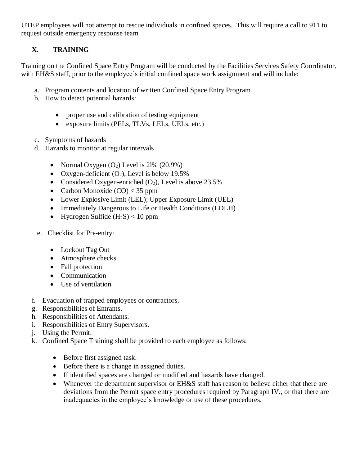UTEP employees will not attempt to rescue individuals in confined spaces. This will require a call to 911 to request outside emergency response team.

# **X. TRAINING**

Training on the Confined Space Entry Program will be conducted by the Facilities Services Safety Coordinator, with EH&S staff, prior to the employee's initial confined space work assignment and will include:

- a. Program contents and location of written Confined Space Entry Program.
- b. How to detect potential hazards:
	- proper use and calibration of testing equipment
	- exposure limits (PELs, TLVs, LELs, UELs, etc.)
- c. Symptoms of hazards
- d. Hazards to monitor at regular intervals
	- Normal Oxygen  $(O_2)$  Level is 21%  $(20.9\%)$
	- Oxygen-deficient  $(O_2)$ , Level is below 19.5%
	- Considered Oxygen-enriched  $(O_2)$ , Level is above 23.5%
	- Carbon Monoxide  $(CO) < 35$  ppm
	- Lower Explosive Limit (LEL); Upper Exposure Limit (UEL)
	- Immediately Dangerous to Life or Health Conditions (LDLH)
	- Hydrogen Sulfide  $(H_2S) < 10$  ppm
- e. Checklist for Pre-entry:
	- Lockout Tag Out
	- Atmosphere checks
	- Fall protection
	- Communication
	- Use of ventilation
- f. Evacuation of trapped employees or contractors.
- g. Responsibilities of Entrants.
- h. Responsibilities of Attendants.
- i. Responsibilities of Entry Supervisors.
- j. Using the Permit.
- k. Confined Space Training shall be provided to each employee as follows:
	- Before first assigned task.
	- Before there is a change in assigned duties.
	- If identified spaces are changed or modified and hazards have changed.
	- Whenever the department supervisor or EH&S staff has reason to believe either that there are deviations from the Permit space entry procedures required by Paragraph IV., or that there are inadequacies in the employee's knowledge or use of these procedures.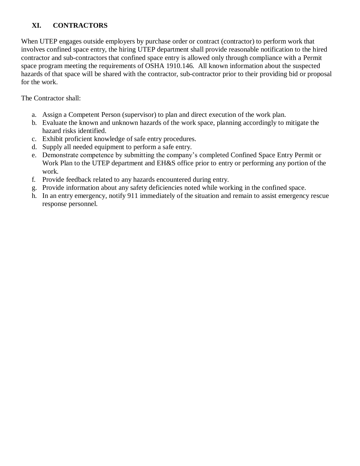# **XI. CONTRACTORS**

When UTEP engages outside employers by purchase order or contract (contractor) to perform work that involves confined space entry, the hiring UTEP department shall provide reasonable notification to the hired contractor and sub-contractors that confined space entry is allowed only through compliance with a Permit space program meeting the requirements of OSHA 1910.146. All known information about the suspected hazards of that space will be shared with the contractor, sub-contractor prior to their providing bid or proposal for the work.

The Contractor shall:

- a. Assign a Competent Person (supervisor) to plan and direct execution of the work plan.
- b. Evaluate the known and unknown hazards of the work space, planning accordingly to mitigate the hazard risks identified.
- c. Exhibit proficient knowledge of safe entry procedures.
- d. Supply all needed equipment to perform a safe entry.
- e. Demonstrate competence by submitting the company's completed Confined Space Entry Permit or Work Plan to the UTEP department and EH&S office prior to entry or performing any portion of the work.
- f. Provide feedback related to any hazards encountered during entry.
- g. Provide information about any safety deficiencies noted while working in the confined space.
- h. In an entry emergency, notify 911 immediately of the situation and remain to assist emergency rescue response personnel.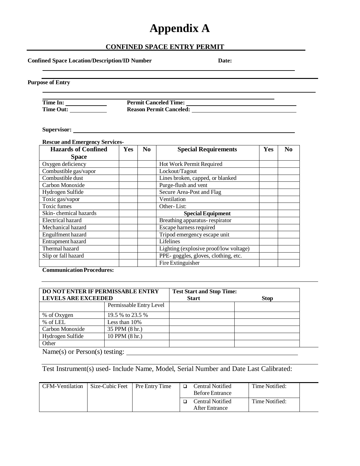# **Appendix A**

## **CONFINED SPACE ENTRY PERMIT**

|                                                                                 | Permit Canceled Time:<br>Reason Permit Canceled: New York Cancel Cancel Cancel Cancel Cancel Cancel Cancel Cancel Cancel Cancel Cancel Cancel Cancel Cancel Cancel Cancel Cancel Cancel Cancel Cancel Cancel Cancel Cancel Cancel Cancel Cancel Cancel |     |                                                                               |     |    |  |  |
|---------------------------------------------------------------------------------|--------------------------------------------------------------------------------------------------------------------------------------------------------------------------------------------------------------------------------------------------------|-----|-------------------------------------------------------------------------------|-----|----|--|--|
| Supervisor:                                                                     |                                                                                                                                                                                                                                                        |     |                                                                               |     |    |  |  |
| <b>Rescue and Emergency Services-</b><br><b>Hazards of Confined</b>             | <b>Yes</b>                                                                                                                                                                                                                                             | No. | <b>Special Requirements</b>                                                   | Yes | No |  |  |
| <b>Space</b>                                                                    |                                                                                                                                                                                                                                                        |     |                                                                               |     |    |  |  |
| Oxygen deficiency                                                               |                                                                                                                                                                                                                                                        |     | Hot Work Permit Required                                                      |     |    |  |  |
| Combustible gas/vapor                                                           |                                                                                                                                                                                                                                                        |     | Lockout/Tagout                                                                |     |    |  |  |
| Combustible dust                                                                |                                                                                                                                                                                                                                                        |     | Lines broken, capped, or blanked                                              |     |    |  |  |
| Carbon Monoxide                                                                 |                                                                                                                                                                                                                                                        |     | Purge-flush and vent                                                          |     |    |  |  |
| Hydrogen Sulfide                                                                |                                                                                                                                                                                                                                                        |     | Secure Area-Post and Flag                                                     |     |    |  |  |
| Toxic gas/vapor                                                                 |                                                                                                                                                                                                                                                        |     | Ventilation                                                                   |     |    |  |  |
| <b>Toxic fumes</b>                                                              |                                                                                                                                                                                                                                                        |     | Other-List:                                                                   |     |    |  |  |
| Skin-chemical hazards                                                           |                                                                                                                                                                                                                                                        |     | <b>Special Equipment</b>                                                      |     |    |  |  |
| Electrical hazard                                                               |                                                                                                                                                                                                                                                        |     | Breathing apparatus-respirator                                                |     |    |  |  |
| Mechanical hazard                                                               |                                                                                                                                                                                                                                                        |     | Escape harness required                                                       |     |    |  |  |
|                                                                                 |                                                                                                                                                                                                                                                        |     | Tripod emergency escape unit                                                  |     |    |  |  |
|                                                                                 |                                                                                                                                                                                                                                                        |     | Lifelines                                                                     |     |    |  |  |
|                                                                                 |                                                                                                                                                                                                                                                        |     |                                                                               |     |    |  |  |
|                                                                                 |                                                                                                                                                                                                                                                        |     |                                                                               |     |    |  |  |
| Engulfment hazard<br>Entrapment hazard<br>Thermal hazard<br>Slip or fall hazard |                                                                                                                                                                                                                                                        |     | Lighting (explosive proof/low voltage)<br>PPE-goggles, gloves, clothing, etc. |     |    |  |  |

| <b>DO NOT ENTER IF PERMISSABLE ENTRY</b><br><b>LEVELS ARE EXCEEDED</b> |                         | <b>Test Start and Stop Time:</b><br><b>Start</b> | <b>Stop</b> |  |
|------------------------------------------------------------------------|-------------------------|--------------------------------------------------|-------------|--|
|                                                                        | Permissable Entry Level |                                                  |             |  |
| % of Oxygen                                                            | 19.5 % to 23.5 %        |                                                  |             |  |
| % of LEL                                                               | Less than $10\%$        |                                                  |             |  |
| Carbon Monoxide                                                        | 35 PPM (8 hr.)          |                                                  |             |  |
| Hydrogen Sulfide                                                       | 10 PPM (8 hr.)          |                                                  |             |  |
| Other                                                                  |                         |                                                  |             |  |

Name(s) or Person(s) testing:

Test Instrument(s) used- Include Name, Model, Serial Number and Date Last Calibrated:

| CFM-Ventilation | Size-Cubic Feet | <b>Pre Entry Time</b> | Central Notified<br><b>Before Entrance</b> | Time Notified: |  |
|-----------------|-----------------|-----------------------|--------------------------------------------|----------------|--|
|                 |                 |                       | Central Notified<br>After Entrance         | Time Notified: |  |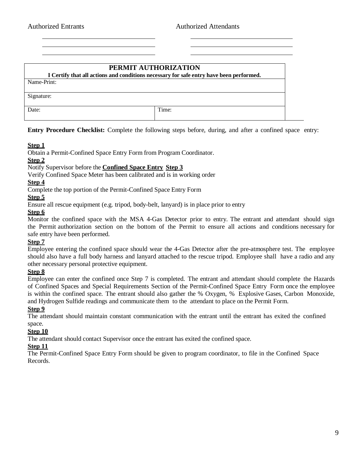# **PERMIT AUTHORIZATION I Certify that all actions and conditions necessary for safe entry have been performed.** Name-Print:

Signature:

Date: Time:

**Entry Procedure Checklist:** Complete the following steps before, during, and after a confined space entry:

### **Step 1**

Obtain a Permit-Confined Space Entry Form from Program Coordinator.

#### **Step 2**

Notify Supervisor before the **Confined Space Entry Step 3**

Verify Confined Space Meter has been calibrated and is in working order

#### **Step 4**

Complete the top portion of the Permit-Confined Space Entry Form

#### **Step 5**

Ensure all rescue equipment (e.g. tripod, body-belt, lanyard) is in place prior to entry

#### **Step 6**

Monitor the confined space with the MSA 4-Gas Detector prior to entry. The entrant and attendant should sign the Permit authorization section on the bottom of the Permit to ensure all actions and conditions necessary for safe entry have been performed.

#### **Step 7**

Employee entering the confined space should wear the 4-Gas Detector after the pre-atmosphere test. The employee should also have a full body harness and lanyard attached to the rescue tripod. Employee shall have a radio and any other necessary personal protective equipment.

#### **Step 8**

Employee can enter the confined once Step 7 is completed. The entrant and attendant should complete the Hazards of Confined Spaces and Special Requirements Section of the Permit-Confined Space Entry Form once the employee is within the confined space. The entrant should also gather the % Oxygen, % Explosive Gases, Carbon Monoxide, and Hydrogen Sulfide readings and communicate them to the attendant to place on the Permit Form.

#### **Step 9**

The attendant should maintain constant communication with the entrant until the entrant has exited the confined space.

#### **Step 10**

The attendant should contact Supervisor once the entrant has exited the confined space.

#### **Step 11**

The Permit-Confined Space Entry Form should be given to program coordinator, to file in the Confined Space Records.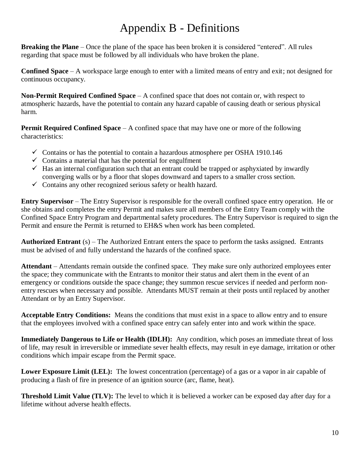# Appendix B - Definitions

**Breaking the Plane** – Once the plane of the space has been broken it is considered "entered". All rules regarding that space must be followed by all individuals who have broken the plane.

**Confined Space** – A workspace large enough to enter with a limited means of entry and exit; not designed for continuous occupancy.

**Non-Permit Required Confined Space** – A confined space that does not contain or, with respect to atmospheric hazards, have the potential to contain any hazard capable of causing death or serious physical harm.

**Permit Required Confined Space** – A confined space that may have one or more of the following characteristics:

- $\checkmark$  Contains or has the potential to contain a hazardous atmosphere per OSHA 1910.146
- $\checkmark$  Contains a material that has the potential for engulfment
- $\checkmark$  Has an internal configuration such that an entrant could be trapped or asphyxiated by inwardly converging walls or by a floor that slopes downward and tapers to a smaller cross section.
- $\checkmark$  Contains any other recognized serious safety or health hazard.

**Entry Supervisor** – The Entry Supervisor is responsible for the overall confined space entry operation. He or she obtains and completes the entry Permit and makes sure all members of the Entry Team comply with the Confined Space Entry Program and departmental safety procedures. The Entry Supervisor is required to sign the Permit and ensure the Permit is returned to EH&S when work has been completed.

**Authorized Entrant** (s) – The Authorized Entrant enters the space to perform the tasks assigned. Entrants must be advised of and fully understand the hazards of the confined space.

**Attendant** – Attendants remain outside the confined space. They make sure only authorized employees enter the space; they communicate with the Entrants to monitor their status and alert them in the event of an emergency or conditions outside the space change; they summon rescue services if needed and perform nonentry rescues when necessary and possible. Attendants MUST remain at their posts until replaced by another Attendant or by an Entry Supervisor.

**Acceptable Entry Conditions:** Means the conditions that must exist in a space to allow entry and to ensure that the employees involved with a confined space entry can safely enter into and work within the space.

**Immediately Dangerous to Life or Health (IDLH):** Any condition, which poses an immediate threat of loss of life, may result in irreversible or immediate sever health effects, may result in eye damage, irritation or other conditions which impair escape from the Permit space.

**Lower Exposure Limit (LEL):** The lowest concentration (percentage) of a gas or a vapor in air capable of producing a flash of fire in presence of an ignition source (arc, flame, heat).

**Threshold Limit Value (TLV):** The level to which it is believed a worker can be exposed day after day for a lifetime without adverse health effects.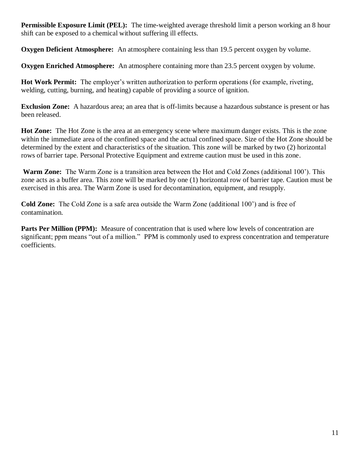**Permissible Exposure Limit (PEL):** The time-weighted average threshold limit a person working an 8 hour shift can be exposed to a chemical without suffering ill effects.

**Oxygen Deficient Atmosphere:** An atmosphere containing less than 19.5 percent oxygen by volume.

**Oxygen Enriched Atmosphere:** An atmosphere containing more than 23.5 percent oxygen by volume.

**Hot Work Permit:** The employer's written authorization to perform operations (for example, riveting, welding, cutting, burning, and heating) capable of providing a source of ignition.

**Exclusion Zone:** A hazardous area; an area that is off-limits because a hazardous substance is present or has been released.

**Hot Zone:** The Hot Zone is the area at an emergency scene where maximum danger exists. This is the zone within the immediate area of the confined space and the actual confined space. Size of the Hot Zone should be determined by the extent and characteristics of the situation. This zone will be marked by two (2) horizontal rows of barrier tape. Personal Protective Equipment and extreme caution must be used in this zone.

**Warm Zone:** The Warm Zone is a transition area between the Hot and Cold Zones (additional 100'). This zone acts as a buffer area. This zone will be marked by one (1) horizontal row of barrier tape. Caution must be exercised in this area. The Warm Zone is used for decontamination, equipment, and resupply.

**Cold Zone:** The Cold Zone is a safe area outside the Warm Zone (additional 100') and is free of contamination.

**Parts Per Million (PPM):** Measure of concentration that is used where low levels of concentration are significant; ppm means "out of a million." PPM is commonly used to express concentration and temperature coefficients.